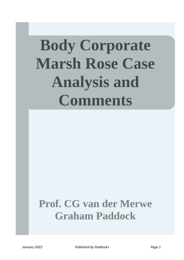# **Body Corporate Marsh Rose Case Analysis and Comments**

# **Prof. CG van der Merwe Graham Paddock**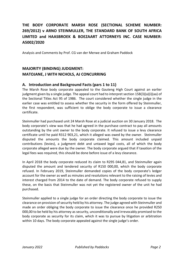# THE BODY CORPORATE MARSH ROSE (SECTIONAL SCHEME NUMBER: **269/2012) v ARNO STEINMULLER, THE STANDARD BANK OF SOUTH AFRICA** LIMITED and HAASBROEK & BOEZAART ATTORNEYS INC. CASE NUMBER: **A5002/2020**

Analysis and Comments by Prof. CG van der Merwe and Graham Paddock

# **MAJORITY (BINDING) JUDGMENT: MATOJANE, J WITH NICHOLS, AJ CONCURRING**

## **A. Introduction and Background Facts (pars 1 to 11)**

The Marsh Rose body corporate appealed to the Gauteng High Court against an earlier judgment given by a single judge. The appeal court had to interpret section  $15B(3)(a)(i)(aa)$  of the Sectional Titles Act 95 of 1986. The court considered whether the single judge in the earlier case was entitled to assess whether the security in the form offered by Steinmuller, the first respondent, was sufficient to oblige the body corporate to issue a clearance certificate.

Steinmuller had purchased unit 24 Marsh Rose at a judicial auction on 30 January 2018. The body corporate's view was that he had agreed in the purchase contract to pay all amounts outstanding by the unit owner to the body corporate. It refused to issue a levy clearance certificate until he paid R312 903,21, which it alleged was owed by the owner. Steinmuller disputed the amounts the body corporate claimed. This amount included unpaid contributions (levies), a judgment debt and untaxed legal costs, all of which the body corporate alleged were due by the owner. The body corporate argued that if taxation of the legal fees was required, this should be done before issue of a levy clearance.

In April 2018 the body corporate reduced its claim to R295 044,81, and Steinmuller again disputed the amount and tendered security of R150 000,00, which the body corporate refused. In February 2019, Steinmuller demanded copies of the body corporate's ledger account for the owner as well as minutes and resolutions relevant to the raising of levies and interest charged from 2014 to the date of demand. The body corporate refused to supply these, on the basis that Steinmuller was not yet the registered owner of the unit he had purchased.

Steinmuller applied to a single judge for an order directing the body corporate to issue the clearance on provision of security held by his attorney. The judge agreed with Steinmuller and made an order obliging the body corporate to issue the clearance once he provided R250 000,00 to be held by his attorney as security, unconditionally and irrevocably promised to the body corporate as security for its claim, which it was to pursue by litigation or arbitration within 10 days. The body corporate appealed against the single judge's order.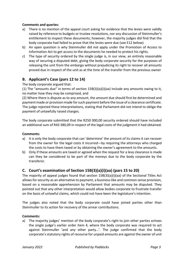#### **Comments and queries:**

- a) There is no mention of the appeal court asking for evidence that the levies were validly raised by reference to budgets or trustee resolutions, nor any discussion of Steinmuller's entitlement to inspect these documents; however, the majority judges did find that the body corporate had failed to prove that the levies were due (see E12 below).
- b) An open question is why Steinmuller did not apply under the Promotion of Access to Information Act to get access to the documents he needed to protect his rights.
- c) The type of security ordered by the single judge is, in our view, an entirely reasonable way of securing a disputed debt, giving the body corporate security for the purposes of releasing the unit from the embargo without prejudicing its right to recover all amounts proved due in respect of the unit as at the time of the transfer from the previous owner

# **B.** Applicant's Case (pars 12 to 14)

The body corporate argued that:

(1) The "amounts due" in terms of section  $15B(3)(a)(i)(aa)$  include any amounts owing to it, no matter how they may be comprised, and

(2) Where there is dispute as to any amount, the amount due should first be determined and payment made or provision made for such payment before the issue of a clearance certificate. The judge rejected these interpretations, stating that Parliament did not intend to oblige the payment of unlawfully raised charges.

The body corporate submitted that the R250 000,00 security ordered should have included an additional sum of R43 380,09 in respect of the legal costs of the judgment it had obtained.

#### **Comments:**

- a) It is only the body corporate that can 'determine' the amount of its claims it can recover from the owner for the legal costs it incurred—by requiring the attorneys who charged the costs to have them taxed or by obtaining the owner's agreement to the amounts.
- b) Only if these amounts are taxed or agreed when the request for a levy clearance is made can they be considered to be part of the moneys due to the body corporate by the transferor.

# **C.** Court's examination of Section 15B(3)(a)(i)(aa) (pars 15 to 20)

The majority of appeal judges found that section  $15B(3)(a)(i)(aa)$  of the Sectional Titles Act allows for security as an alternative to payment, a business-like and common sense provision, based on a reasonable apprehension by Parliament that amounts may be disputed. They pointed out that any other interpretation would allow bodies corporate to frustrate transfer on the basis of unlawful claims, which could not have been the legislature's intention.

The judges also noted that the body corporate could have joined parties other than Steinmuller to its action for recovery of the arrear contributions.

#### **Comments:**

a) The majority judges' mention of the body corporate's right to join other parties echoes the single judge's earlier order item 4, where the body corporate was required to act against Steinmuller 'and any other party...'. The judge confirmed that the body corporate's statutory rights of recourse for unpaid amounts are against the owner of unit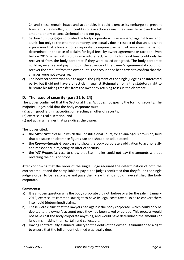24 and these remain intact and actionable. It could exercise its embargo to prevent transfer to Steinmuller, but it could also take action against the owner to recover the full amount, or any balance Steinmuller did not pay.

- b) Section  $15B(3)(a)(i)(aa)$  provides the body corporate with an embargo against transfer of a unit, but only to the extent that moneys are actually due in respect of that unit. It is not a provision that allows a body corporate to require payment of any claim that is not determined, in the case of a claim for legal fees, by owner agreement or taxation. Even before 2016, when PMR 25(5) came into effect, accounts for legal fees could only be recovered from the body corporate if they were taxed or agreed. The body corporate could agree a fee and pay it, but in the absence of the owner's agreement it could not recover the amount from the owner until the account had been taxed to confirm that the charges were not excessive.
- c) The body corporate was able to appeal the judgment of the single judge as an interested party, but it did not have a direct claim against Steinmuller, only the statutory right to frustrate his taking transfer from the owner by refusing to issue the clearance.

# **D.** The issue of security (pars 21 to 24)

The judges confirmed that the Sectional Titles Act does not specify the form of security. The majority judges held that the body corporate must:

- (a) act in good faith in accepting or rejecting an offer of security;
- (b) exercise a real discretion, and
- (c) not act in a manner that prejudices the owner.

The judges cited:

- the *Mkontwana* case, in which the Constitutional Court, for an analogous provision, held that a dispute on clearance figures can and should be adjudicated.
- the **Koumantarakis** Group case to show the body corporate's obligation to act honestly and reasonably in rejecting an offer of security.
- the **YST Properties** case to show that Steinmuller could not pay the amounts without reversing the onus of proof.

After confirming that the order of the single judge required the determination of both the correct amount and the party liable to pay it, the judges confirmed that they found the single judge's order to be reasonable and gave their view that it should have satisfied the body corporate.

#### **Comments:**

- a) It is an open question why the body corporate did not, before or after the sale in January 2018, exercise its common law right to have its legal costs taxed, so as to convert them into liquid (determined) claims.
- b) These were claims that the lawyers had against the body corporate, which could only be debited to the owner's account once they had been taxed or agreed. This process would not have cost the body corporate anything, and would have determined the amounts of its claims, making them certain and collectable.
- c) Having contractually assumed liability for the debts of the owner, Steinmuller had a right to ensure that the full amount claimed was legally due.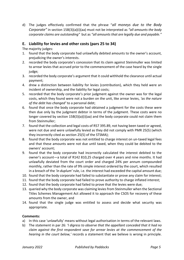d) The judges effectively confirmed that the phrase "*all moneys due to the Body Corporate*" in section 15B(3)(a)(i)(aa) must not be interpreted as "all amounts the body *corporate claims are outstanding"* but as "all amounts that are legally due and payable."

## **E.** Liability for levies and other costs (pars 25 to 34)

The majority judges:

- 1. found that the body corporate had unlawfully debited amounts to the owner's account, prejudicing the owner's interests.
- 2. recorded the body corporate's concession that its claim against Steinmuller was limited to arrear levies that accrued prior to the commencement of the case heard by the single judge;
- 3. recorded the body corporate's argument that it could withhold the clearance until actual payment;
- 4. drew a distinction between liability for levies (contribution), which they held were an incident of ownership, and the liability for legal costs;
- 5. recorded that the body corporate's prior judgment against the owner was for the legal costs, which they found were not a burden on the unit, like arrear levies, *'as the nature* of the debt has changed' to a personal debt;
- 6. found that once the body corporate had obtained a judgment for the costs these were then due only by the judgment debtor in terms of the judgment. These costs were no longer covered by section  $15B(3)(a)(i)(aa)$  and the body corporate could not claim them from Steinmuller:
- 7. found that the collection and legal costs of R57 395.89, not having been taxed or agreed, were not due and were unlawfully levied as they did not comply with PMR 25(5) (which they incorrectly cited as section 25(5) of the STSMA);
- 8. found that the body corporate was not entitled to charge interest on un-taxed legal fees and that these amounts were not due until taxed, when they could be debited to the owners' account;
- 9. found that the body corporate had incorrectly calculated the interest debited to the owner's account—a total of R142 810,25 charged over 4 years and nine months. It had unlawfully deviated from the court order and charged 24% per annum compounded monthly, rather than the rate of 9% simple interest ordered by the court, which resulted in a breach of the 'in duplum' rule, i.e. the interest had exceeded the capital amount due;
- 10. found that the body corporate had failed to substantiate or prove any claim for interest;
- 11. found that the body corporate had failed to prove authority to charge inflated interest;
- 12. found that the body corporate had failed to prove that the levies were due;
- 13. queried why the body corporate was claiming levies from Steinmuller when the Sectional Titles Schemes Management Act allowed it to approach the CSOS for recovery of these amounts from the owner, and
- 14. found that the single judge was entitled to assess and decide what security was appropriate.

#### **Comments:**

- a) In this case 'unlawfully' means without legal authorisation in terms of the relevant laws.
- b) The statement in par 26: *'I digress to observe that the appellant conceded that it had no claim* against the first respondent save for arrear levies at the commencement of the *hearing in the court below,'* records a statement that we believe is wrong in principle.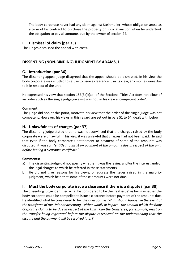The body corporate never had any claim against Steinmuller, whose obligation arose as a term of his contract to purchase the property on judicial auction when he undertook the obligation to pay all amounts due by the owner of section 24.

#### **F. Dismissal of claim (par 35)**

The judges dismissed the appeal with costs.

# DISSENTING (NON-BINDING) JUDGMENT BY ADAMS, J

#### **G. Introduction (par 36)**

The dissenting appeal judge disagreed that the appeal should be dismissed. In his view the body corporate was entitled to refuse to issue a clearance if, in its view, any monies were due to it in respect of the unit.

He expressed his view that section  $15B(3)(i)(aa)$  of the Sectional Titles Act does not allow of an order such as the single judge gave—it was not in his view a 'competent order'.

#### **Comment:**

The judge did not, at this point, motivate his view that the order of the single judge was not competent. However, his views in this regard are set out in pars 51 to 64, dealt with below.

#### **H. Unlawfulness of charges (par 37)**

The dissenting judge stated that he was not convinced that the charges raised by the body corporate were unlawful. In his view it was unlawful that charges had not been paid. He said that even if the body corporate's entitlement to payment of some of the amounts was disputed, it was still "entitled to insist on payment of the amounts due in respect of the unit, before *issuing* a clearance certificate".

#### **Comments:**

- a) The dissenting judge did not specify whether it was the levies, and/or the interest and/or the legal charges to which he referred in these statements.
- b) He did not give reasons for his views, or address the issues raised in the majority judgment, which held that some of these amounts were not due.

#### **I.** Must the body corporate issue a clearance if there is a dispute? (par 38)

The dissenting judge identified what he considered to be the 'real issue' as being whether the body corporate could be compelled to issue a clearance before payment of the amounts due. He identified what he considered to be 'the question' as 'What should happen in the event of *the transferee of the Unit not accepting – either wholly or in part – the amount which the Body Corporate claims to be due in respect of the Unit? Can the transferee, for example, insist on the transfer being registered before the dispute is resolved on the understanding that the dispute and the payment will be resolved later?'*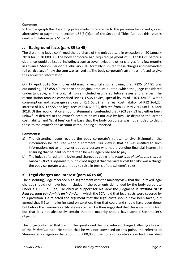#### **Comment:**

In this paragraph the dissenting judge made no reference to the provision for security, as an alternative to payment, in section  $15B(3)(i)(aa)$  of the Sectional Titles Act, but this issue is dealt with later in pars 51 to 64.

# **J. Background facts (pars 39 to 45)**

The dissenting judge confirmed the purchase of the unit at a sale in execution on 20 January 2018 for R970 000,00. The body corporate had required payment of R312 903,21 before a clearance would be issued, including a sum to cover levies and other charges for a few months in advance. Steinmuller on 19 February 2018 formally disputed these charges and demanded full particulars of how the sum was arrived at. The body corporate's attorneys refused to give the requested information.

On 17 April 2018 Steinmuller obtained a reconciliation showing that R295 044.81 was outstanding, R17 858,40 less than the original amount quoted, which the judge considered understandable, as the original figure included estimated future levies and charges. The reconciliation amount comprised levies, CSOS Levies, special levies of R103 324,35; water consumption and sewerage services of R31 52,02; an 'arrear cost liability' of R12 264,25; interest of R97 137,55 and legal fees of R50 615,65, debited from 14 May 2014 until 14 April 2018. Of the reconciliation amount, Steinmuller contended that R203 397,53 had either been unlawfully debited to the owner's account or was not due by him. He disputed the 'arrear cost liability' and 'legal fees' on the basis that the body corporate was not entitled to debit these to the owner's the account without being authorised.

#### **Comments:**

- a) The dissenting judge records the body corporate's refusal to give Steinmuller the information he required without comment. Our view is that he was entitled to such information, not as an owner but as a person who had a genuine financial interest in ensuring that he paid no more than he was legally obliged to pay.
- b) The judge referred to the levies and charges as being "*the usual type of levies and charges* raised by Body Corporates", but did not suggest that the 'arrear cost liability' was a charge the body corporate was entitled to raise in terms of the scheme's rules.

# **K.** Legal charges and interest (pars 46 to 48)

The dissenting judge recorded his disagreement with the majority view that the un-taxed legal charges should not have been included in the payments demanded by the body corporate under s  $15B(3)(a)(i)(aa)$ . He cited as support for his view the judgment in **Barnard NO v Regspersoon van Aminie en 'n Ander** in which the SCA held that legal costs were covered by this provision. He rejected the argument that the legal costs should have been taxed, but agreed that if Steinmuller insisted on taxation, then that could and should have been done, but before the clearance certificate was issued. He then suggested that this issue is not clear, but that it is not absolutely certain that the majority should have upheld Steinmuller's objection.

The judge confirmed that Steinmuller questioned the total interest charged, alleging a breach of the *in duplum* rule. He stated that he was not convinced on this point. He referred to Steinmuller's allegation that about R55 000,00 of the body corporate's claim had prescribed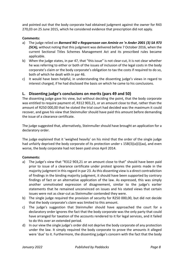and pointed out that the body corporate had obtained judgment against the owner for R43 270,03 on 25 June 2015, which he considered evidence that prescription did not apply.

#### **Comments:**

- a) The judge relied on *Barnard NO v Reaspersoon van Aminie en 'n Ander 2001 (3) SA 973* **(SCA)**, without noting that this judgment was delivered before 7 October 2016, when the current Sectional Titles Schemes Management Act and its prescribed rules became applicable.
- b) When the judge states, in par 47, that "this issue" is not clear-cut, it is not clear whether he was referring to either or both of the issues of inclusion of the legal costs in the body corporate's claim or the body corporate's obligation to tax the costs if required to do so, both of which he dealt with in par 46.
- c) It would have been helpful, in understanding the dissenting judge's views in regard to interest charged, if he had disclosed the basis on which he came to his conclusions.

#### **L.** Dissenting judge's conclusions on merits (pars 49 and 50)

The dissenting judge gave his view, but without deciding the point, that the body corporate was entitled to require payment of, R312 903,21, or an amount close to that, rather than the amount of R250 000,00 that he stated the trial court had decided was the maximum it could recover, and gave his view that Steinmuller should have paid this amount before demanding the issue of a clearance certificate.

The judge suggested that, alternatively, Steinmuller should have brought an application for a declaratory order.

The judge explained that it 'weighed heavily' on his mind that the order of the single judge had unfairly deprived the body corporate of its protection under s  $15B(3)(a)(i)(aa)$ , and even worse, the body corporate had not been paid since April 2014.

#### **Comments:**

- a) The judge's view that "R312 903,21 or an amount close to that" should have been paid prior to issue of a clearance certificate under protest ignores the points made in the majority judgment in this regard in par 23. As this dissenting view is a direct contradiction of findings in the binding majority judgment, it should have been supported by contrary findings of fact or an alternative application of the law. As expressed, this was simply another unmotivated expression of disagreement, similar to the judge's earlier statements that he remained unconvinced on issues and his stated views that certain issues were not as clear-cut as Steinmuller contended they were.
- b) The single judge required the provision of security for R250 000,00, but did not decide that the body corporate's claim was limited to this amount.
- c) The judge's suggestion that Steinmuller should have approached the court for a declaratory order ignores the fact that the body corporate was the only party that could have arranged for taxation of the accounts rendered to it for legal services, and it failed to do this over an extended period.
- d) In our view the single judge's order did not deprive the body corporate of any protection under the law. It simply required the body corporate to prove the amounts it alleged were 'due' to it. Furthermore, the dissenting judge's concern with the fact that the body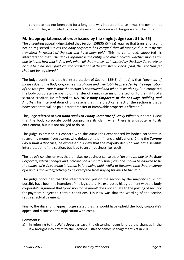corporate had not been paid for a long time was inappropriate, as it was the owner, not Steinmuller, who failed to pay whatever contributions and charges were in fact due.

# **M.** Inappropriateness of order issued by the single judge (pars 51 to 65)

The dissenting appeal judge stated that Section  $15B(3)(a)(i)(aa)$  requires that transfer of a unit not be registered "unless the body corporate has certified that all moneys due to it by the *transferor in respect of the said unit have been paid."* This, he contended, supported his interpretation that "The Body Corporate is the entity who must indicate whether monies are *due* to it and how much. And only when all that money, as indicated by the Body Corporate to *be due to it, has been paid, can the registration of the transfer proceed. If not, then the transfer shall not be registered."*

The judge confirmed that his interpretation of Section  $15B(3)(a)(i)(aa)$  is that *"payment of monies due to the Body Corporate shall always and inevitably be preceded by the registration* of the transfer - that is how the section is constructed and what its words say." He compared the body corporate's embargo on transfer of a unit in terms of the section to the rights of a secured creditor. He referred to *Nel NO v Body Corporate of the Seaways Building and* Another. His interpretation of this case is that "the practical effect of the section is that a body corporate will be paid before transfer of immovable property is effected."

The judge referred to *First Rand Bank Ltd v Body Corporate of Geovy Villa* to support his view that the body corporate could compromise its claim when there is a dispute as to its entitlement, but it is not obliged to do so.

The judge expressed his concern with the difficulties experienced by bodies corporate in recovering money from owners who default on their financial obligations. Citing the **Tswane City** v **Blair Athol case**, he expressed his view that the majority decision was not a sensible interpretation of the section, but lead to an un-businesslike result.

The judge's conclusion was that it makes no business sense that: "an amount due to the Body *Corporate, which changes and increases on a monthly basis, can and should be allowed to be* the subject of a dispute and litigation before being paid, whilst at the same time the transferee of a unit is allowed effectively to be exempted from paying his dues to the BC."

The judge concluded that the interpretation put on the section by the majority could not possibly have been the intention of the legislature. He expressed his agreement with the body corporate's argument that 'provision for payment' does not equate to the posting of security for payment subject to certain conditions. His view was that the wording of the section requires actual payment.

Finally, the dissenting appeal judge stated that he would have upheld the body corporate's appeal and dismissed the application with costs.

#### **Comments:**

a) In referring to the *Nel v Seaways* case, the dissenting judge ignored the changes in the law brought into effect by the Sectional Titles Schemes Management Act in 2016.